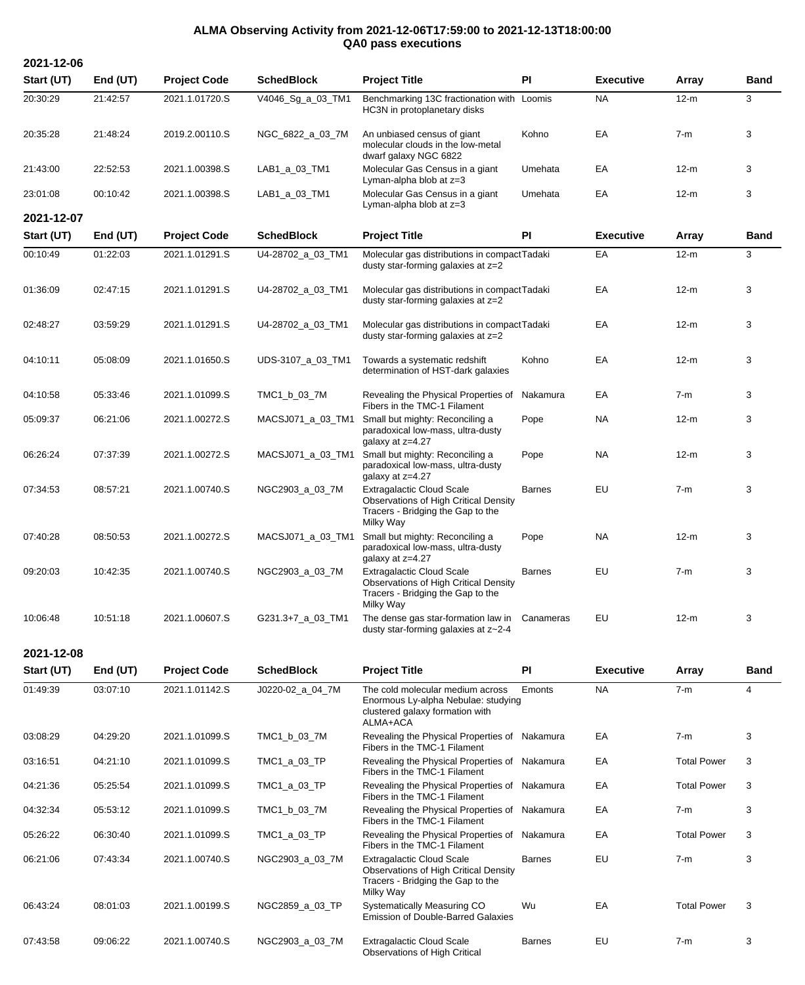## **ALMA Observing Activity from 2021-12-06T17:59:00 to 2021-12-13T18:00:00 QA0 pass executions**

**Start (UT) End (UT) Project Code SchedBlock Project Title PI Executive Array Band** 20:30:29 21:42:57 2021.1.01720.S V4046\_Sg\_a\_03\_TM1 Benchmarking 13C fractionation with Loomis NA 12-m 3 HC3N in protoplanetary disks 20:35:28 21:48:24 2019.2.00110.S NGC\_6822\_a\_03\_7M An unbiased census of giant molecular clouds in the low-metal dwarf galaxy NGC 6822 Kohno EA 7-m 3 21:43:00 22:52:53 2021.1.00398.S LAB1\_a\_03\_TM1 Molecular Gas Census in a giant Lyman-alpha blob at z=3 Umehata EA 12-m 3 23:01:08 00:10:42 2021.1.00398.S LAB1\_a\_03\_TM1 Molecular Gas Census in a giant Lyman-alpha blob at z=3 Umehata EA 12-m 3 **2021-12-07 Start (UT) End (UT) Project Code SchedBlock Project Title PI Executive Array Band** 00:10:49 01:22:03 2021.1.01291.S U4-28702\_a\_03\_TM1 Molecular gas distributions in compactTadaki EA 12-m 3 dusty star-forming galaxies at z=2 01:36:09 02:47:15 2021.1.01291.S U4-28702\_a\_03\_TM1 Molecular gas distributions in compactTadaki EA 12-m 3 dusty star-forming galaxies at z=2 02:48:27 03:59:29 2021.1.01291.S U4-28702\_a\_03\_TM1 Molecular gas distributions in compact Tadaki EA 12-m 3 dusty star-forming galaxies at z=2 04:10:11 05:08:09 2021.1.01650.S UDS-3107\_a\_03\_TM1 Towards a systematic redshift determination of HST-dark galaxies Kohno EA 12-m 3 04:10:58 05:33:46 2021.1.01099.S TMC1\_b\_03\_7M Revealing the Physical Properties of Nakamura EA 7-m 3 Fibers in the TMC-1 Filament 05:09:37 06:21:06 2021.1.00272.S MACSJ071\_a\_03\_TM1 Small but mighty: Reconciling a paradoxical low-mass, ultra-dusty galaxy at z=4.27 Pope NA 12-m 3 06:26:24 07:37:39 2021.1.00272.S MACSJ071\_a\_03\_TM1 Small but mighty: Reconciling a paradoxical low-mass, ultra-dusty galaxy at z=4.27 Pope NA 12-m 3 07:34:53 08:57:21 2021.1.00740.S NGC2903\_a\_03\_7M Extragalactic Cloud Scale **Observations of High Critical Density** Tracers - Bridging the Gap to the Milky Way Barnes EU 7-m 3 07:40:28 08:50:53 2021.1.00272.S MACSJ071\_a\_03\_TM1 Small but mighty: Reconciling a paradoxical low-mass, ultra-dusty qalaxy at z=4.27 Pope NA 12-m 3 09:20:03 10:42:35 2021.1.00740.S NGC2903\_a\_03\_7M Extragalactic Cloud Scale Observations of High Critical Density Tracers - Bridging the Gap to the Milky Way Barnes EU 7-m 3 10:06:48 10:51:18 2021.1.00607.S G231.3+7\_a\_03\_TM1 The dense gas star-formation law in dusty star-forming galaxies at z~2-4 Canameras EU 12-m 3

**2021-12-08**

**2021-12-06**

| Start (UT) | End (UT) | <b>Project Code</b> | <b>SchedBlock</b> | <b>Project Title</b>                                                                                                        | <b>PI</b>     | <b>Executive</b> | Array              | <b>Band</b> |
|------------|----------|---------------------|-------------------|-----------------------------------------------------------------------------------------------------------------------------|---------------|------------------|--------------------|-------------|
| 01:49:39   | 03:07:10 | 2021.1.01142.S      | J0220-02_a_04_7M  | The cold molecular medium across<br>Enormous Ly-alpha Nebulae: studying<br>clustered galaxy formation with<br>ALMA+ACA      | Emonts        | <b>NA</b>        | $7-m$              | 4           |
| 03:08:29   | 04:29:20 | 2021.1.01099.S      | TMC1_b_03_7M      | Revealing the Physical Properties of Nakamura<br>Fibers in the TMC-1 Filament                                               |               | EA               | $7-m$              | 3           |
| 03:16:51   | 04:21:10 | 2021.1.01099.S      | TMC1_a_03_TP      | Revealing the Physical Properties of Nakamura<br>Fibers in the TMC-1 Filament                                               |               | EA               | <b>Total Power</b> | 3           |
| 04:21:36   | 05:25:54 | 2021.1.01099.S      | TMC1_a_03_TP      | Revealing the Physical Properties of Nakamura<br>Fibers in the TMC-1 Filament                                               |               | EA               | <b>Total Power</b> | 3           |
| 04:32:34   | 05:53:12 | 2021.1.01099.S      | TMC1_b_03_7M      | Revealing the Physical Properties of Nakamura<br>Fibers in the TMC-1 Filament                                               |               | EA               | $7-m$              | 3           |
| 05:26:22   | 06:30:40 | 2021.1.01099.S      | TMC1_a_03_TP      | Revealing the Physical Properties of Nakamura<br>Fibers in the TMC-1 Filament                                               |               | EA               | <b>Total Power</b> | 3           |
| 06:21:06   | 07:43:34 | 2021.1.00740.S      | NGC2903_a_03_7M   | <b>Extragalactic Cloud Scale</b><br>Observations of High Critical Density<br>Tracers - Bridging the Gap to the<br>Milky Way | <b>Barnes</b> | EU               | $7-m$              | 3           |
| 06:43:24   | 08:01:03 | 2021.1.00199.S      | NGC2859_a_03_TP   | Systematically Measuring CO<br><b>Emission of Double-Barred Galaxies</b>                                                    | Wu            | EA               | <b>Total Power</b> | 3           |
| 07:43:58   | 09:06:22 | 2021.1.00740.S      | NGC2903_a_03_7M   | <b>Extragalactic Cloud Scale</b><br>Observations of High Critical                                                           | <b>Barnes</b> | EU               | $7-m$              | 3           |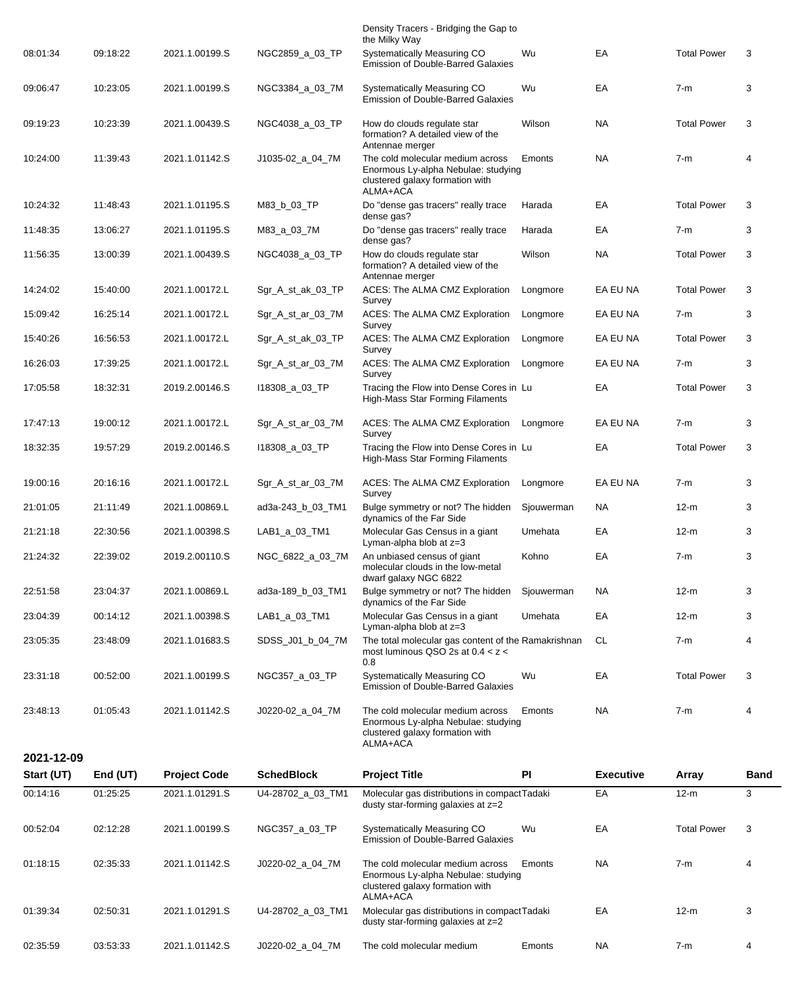|            |            |                     |                   | Density Tracers - Bridging the Gap to<br>the Milky Way                                                                                    |            |                  |                    |             |
|------------|------------|---------------------|-------------------|-------------------------------------------------------------------------------------------------------------------------------------------|------------|------------------|--------------------|-------------|
| 08:01:34   | 09:18:22   | 2021.1.00199.S      | NGC2859_a_03_TP   | Systematically Measuring CO<br><b>Emission of Double-Barred Galaxies</b>                                                                  | Wu         | EA               | <b>Total Power</b> | 3           |
| 09:06:47   | 10:23:05   | 2021.1.00199.S      | NGC3384 a 03 7M   | Systematically Measuring CO<br><b>Emission of Double-Barred Galaxies</b>                                                                  | Wu         | EA               | $7-m$              | 3           |
| 09:19:23   | 10:23:39   | 2021.1.00439.S      | NGC4038_a_03_TP   | How do clouds regulate star<br>formation? A detailed view of the                                                                          | Wilson     | <b>NA</b>        | <b>Total Power</b> | 3           |
| 10:24:00   | 11:39:43   | 2021.1.01142.S      | J1035-02_a_04_7M  | Antennae merger<br>The cold molecular medium across<br>Enormous Ly-alpha Nebulae: studying<br>clustered galaxy formation with<br>ALMA+ACA | Emonts     | <b>NA</b>        | $7-m$              | 4           |
| 10:24:32   | 11:48:43   | 2021.1.01195.S      | M83_b_03_TP       | Do "dense gas tracers" really trace<br>dense gas?                                                                                         | Harada     | EA               | <b>Total Power</b> | 3           |
| 11:48:35   | 13:06:27   | 2021.1.01195.S      | M83_a_03_7M       | Do "dense gas tracers" really trace<br>dense gas?                                                                                         | Harada     | EA               | $7-m$              | 3           |
| 11:56:35   | 13:00:39   | 2021.1.00439.S      | NGC4038_a_03_TP   | How do clouds regulate star<br>formation? A detailed view of the<br>Antennae merger                                                       | Wilson     | <b>NA</b>        | <b>Total Power</b> | 3           |
| 14:24:02   | 15:40:00   | 2021.1.00172.L      | Sgr_A_st_ak_03_TP | ACES: The ALMA CMZ Exploration<br>Survey                                                                                                  | Longmore   | EA EU NA         | <b>Total Power</b> | 3           |
| 15:09:42   | 16:25:14   | 2021.1.00172.L      | Sgr_A_st_ar_03_7M | ACES: The ALMA CMZ Exploration<br>Survey                                                                                                  | Longmore   | EA EU NA         | $7-m$              | 3           |
| 15:40:26   | 16:56:53   | 2021.1.00172.L      | Sgr_A_st_ak_03_TP | ACES: The ALMA CMZ Exploration<br>Survey                                                                                                  | Longmore   | EA EU NA         | <b>Total Power</b> | 3           |
| 16:26:03   | 17:39:25   | 2021.1.00172.L      | Sgr_A_st_ar_03_7M | ACES: The ALMA CMZ Exploration<br>Survey                                                                                                  | Longmore   | EA EU NA         | $7-m$              | 3           |
| 17:05:58   | 18:32:31   | 2019.2.00146.S      | 118308_a_03_TP    | Tracing the Flow into Dense Cores in Lu<br>High-Mass Star Forming Filaments                                                               |            | EA               | <b>Total Power</b> | 3           |
| 17:47:13   | 19:00:12   | 2021.1.00172.L      | Sgr_A_st_ar_03_7M | ACES: The ALMA CMZ Exploration<br>Survey                                                                                                  | Longmore   | EA EU NA         | $7-m$              | 3           |
| 18:32:35   | 19:57:29   | 2019.2.00146.S      | 118308_a_03_TP    | Tracing the Flow into Dense Cores in Lu<br>High-Mass Star Forming Filaments                                                               |            | EA               | <b>Total Power</b> | 3           |
| 19:00:16   | 20:16:16   | 2021.1.00172.L      | Sgr_A_st_ar_03_7M | ACES: The ALMA CMZ Exploration<br>Survey                                                                                                  | Longmore   | EA EU NA         | $7-m$              | 3           |
| 21:01:05   | 21:11:49   | 2021.1.00869.L      | ad3a-243_b_03_TM1 | Bulge symmetry or not? The hidden<br>dynamics of the Far Side                                                                             | Sjouwerman | <b>NA</b>        | $12-m$             | 3           |
| 21:21:18   | 22:30:56   | 2021.1.00398.S      | LAB1_a_03_TM1     | Molecular Gas Census in a giant<br>Lyman-alpha blob at z=3                                                                                | Umehata    | EA               | $12-m$             | 3           |
| 21:24:32   | 22:39:02   | 2019.2.00110.S      | NGC_6822_a_03_7M  | An unbiased census of giant<br>molecular clouds in the low-metal<br>dwarf galaxy NGC 6822                                                 | Kohno      | EA               | $7-m$              | 3           |
| 22:51:58   | 23:04:37   | 2021.1.00869.L      | ad3a-189 b 03 TM1 | Bulge symmetry or not? The hidden<br>dynamics of the Far Side                                                                             | Sjouwerman | <b>NA</b>        | $12-m$             | 3           |
| 23:04:39   | 00:14:12   | 2021.1.00398.S      | LAB1_a_03_TM1     | Molecular Gas Census in a giant<br>Lyman-alpha blob at $z=3$                                                                              | Umehata    | EA               | $12-m$             | 3           |
| 23:05:35   | 23:48:09   | 2021.1.01683.S      | SDSS_J01_b_04_7M  | The total molecular gas content of the Ramakrishnan<br>most luminous QSO 2s at $0.4 < z <$<br>0.8                                         |            | CL               | $7-m$              | 4           |
| 23:31:18   | 00:52:00   | 2021.1.00199.S      | NGC357_a_03_TP    | <b>Systematically Measuring CO</b><br><b>Emission of Double-Barred Galaxies</b>                                                           | Wu         | EA               | <b>Total Power</b> | 3           |
| 23:48:13   | 01:05:43   | 2021.1.01142.S      | J0220-02_a_04_7M  | The cold molecular medium across<br>Enormous Ly-alpha Nebulae: studying<br>clustered galaxy formation with<br>ALMA+ACA                    | Emonts     | <b>NA</b>        | $7-m$              | 4           |
| 2021-12-09 |            |                     |                   |                                                                                                                                           |            |                  |                    |             |
| Start (UT) | End $(UT)$ | <b>Project Code</b> | <b>SchedBlock</b> | <b>Project Title</b>                                                                                                                      | PI         | <b>Executive</b> | <b>Array</b>       | <b>Band</b> |
| 00:14:16   | 01:25:25   | 2021.1.01291.S      | U4-28702_a_03_TM1 | Molecular gas distributions in compactTadaki<br>dusty star-forming galaxies at z=2                                                        |            | EA               | $12-m$             | 3           |
| 00:52:04   | 02:12:28   | 2021.1.00199.S      | NGC357_a_03_TP    | Systematically Measuring CO<br><b>Emission of Double-Barred Galaxies</b>                                                                  | Wu         | EA               | <b>Total Power</b> | 3           |
| 01:18:15   | 02:35:33   | 2021.1.01142.S      | J0220-02_a_04_7M  | The cold molecular medium across<br>Enormous Ly-alpha Nebulae: studying<br>clustered galaxy formation with<br>ALMA+ACA                    | Emonts     | <b>NA</b>        | $7-m$              | 4           |
| 01:39:34   | 02:50:31   | 2021.1.01291.S      | U4-28702_a_03_TM1 | Molecular gas distributions in compactTadaki<br>dusty star-forming galaxies at z=2                                                        |            | EA               | $12-m$             | 3           |
| 02:35:59   | 03:53:33   | 2021.1.01142.S      | J0220-02_a_04_7M  | The cold molecular medium                                                                                                                 | Emonts     | <b>NA</b>        | $7-m$              | 4           |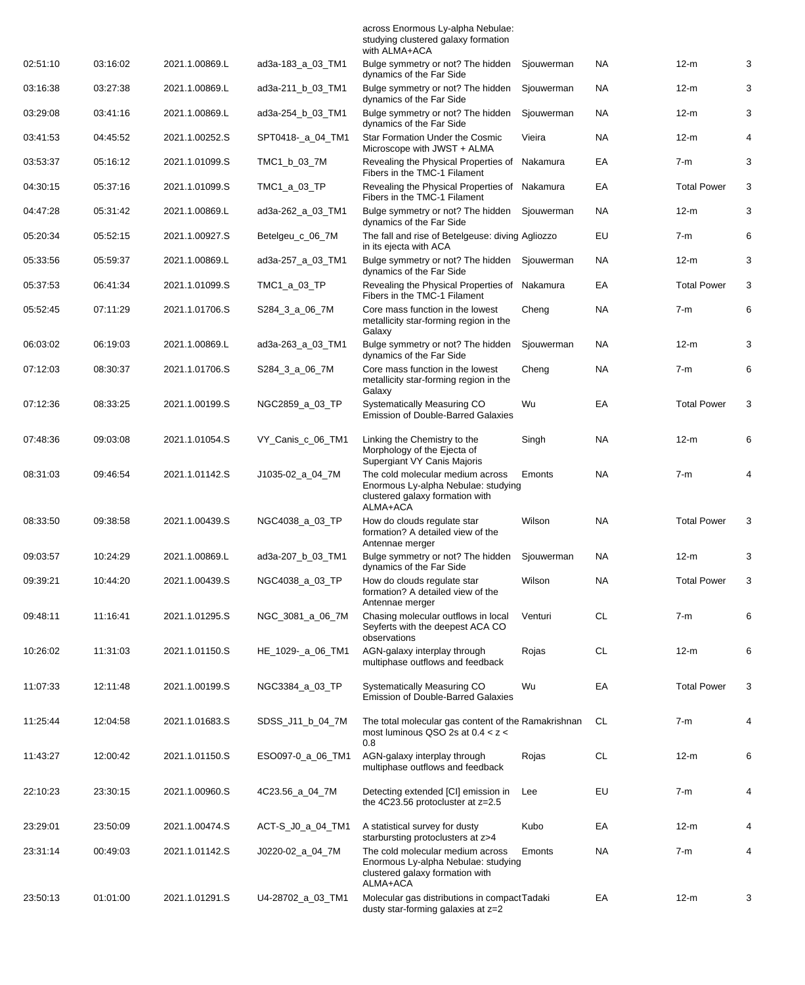|          |          |                |                   | across Enormous Ly-alpha Nebulae:<br>studying clustered galaxy formation<br>with ALMA+ACA                              |            |           |                    |   |
|----------|----------|----------------|-------------------|------------------------------------------------------------------------------------------------------------------------|------------|-----------|--------------------|---|
| 02:51:10 | 03:16:02 | 2021.1.00869.L | ad3a-183_a_03_TM1 | Bulge symmetry or not? The hidden<br>dynamics of the Far Side                                                          | Sjouwerman | <b>NA</b> | $12-m$             | 3 |
| 03:16:38 | 03:27:38 | 2021.1.00869.L | ad3a-211_b_03_TM1 | Bulge symmetry or not? The hidden<br>dynamics of the Far Side                                                          | Sjouwerman | <b>NA</b> | $12-m$             | 3 |
| 03:29:08 | 03:41:16 | 2021.1.00869.L | ad3a-254_b_03_TM1 | Bulge symmetry or not? The hidden<br>dynamics of the Far Side                                                          | Sjouwerman | <b>NA</b> | $12-m$             | 3 |
| 03:41:53 | 04:45:52 | 2021.1.00252.S | SPT0418-_a_04_TM1 | Star Formation Under the Cosmic<br>Microscope with JWST + ALMA                                                         | Vieira     | <b>NA</b> | $12-m$             | 4 |
| 03:53:37 | 05:16:12 | 2021.1.01099.S | TMC1_b_03_7M      | Revealing the Physical Properties of<br>Fibers in the TMC-1 Filament                                                   | Nakamura   | EA        | $7-m$              | 3 |
| 04:30:15 | 05:37:16 | 2021.1.01099.S | TMC1_a_03_TP      | Revealing the Physical Properties of Nakamura<br>Fibers in the TMC-1 Filament                                          |            | EA        | <b>Total Power</b> | 3 |
| 04:47:28 | 05:31:42 | 2021.1.00869.L | ad3a-262_a_03_TM1 | Bulge symmetry or not? The hidden<br>dynamics of the Far Side                                                          | Sjouwerman | <b>NA</b> | $12-m$             | 3 |
| 05:20:34 | 05:52:15 | 2021.1.00927.S | Betelgeu_c_06_7M  | The fall and rise of Betelgeuse: diving Agliozzo<br>in its ejecta with ACA                                             |            | EU        | $7-m$              | 6 |
| 05:33:56 | 05:59:37 | 2021.1.00869.L | ad3a-257_a_03_TM1 | Bulge symmetry or not? The hidden<br>dynamics of the Far Side                                                          | Sjouwerman | <b>NA</b> | $12-m$             | 3 |
| 05:37:53 | 06:41:34 | 2021.1.01099.S | TMC1_a_03_TP      | Revealing the Physical Properties of Nakamura<br>Fibers in the TMC-1 Filament                                          |            | EA        | <b>Total Power</b> | 3 |
| 05:52:45 | 07:11:29 | 2021.1.01706.S | S284_3_a_06_7M    | Core mass function in the lowest<br>metallicity star-forming region in the<br>Galaxy                                   | Cheng      | <b>NA</b> | $7-m$              | 6 |
| 06:03:02 | 06:19:03 | 2021.1.00869.L | ad3a-263 a 03 TM1 | Bulge symmetry or not? The hidden<br>dynamics of the Far Side                                                          | Sjouwerman | <b>NA</b> | $12-m$             | 3 |
| 07:12:03 | 08:30:37 | 2021.1.01706.S | S284_3_a_06_7M    | Core mass function in the lowest<br>metallicity star-forming region in the<br>Galaxy                                   | Cheng      | <b>NA</b> | $7-m$              | 6 |
| 07:12:36 | 08:33:25 | 2021.1.00199.S | NGC2859_a_03_TP   | Systematically Measuring CO<br><b>Emission of Double-Barred Galaxies</b>                                               | Wu         | EA        | <b>Total Power</b> | 3 |
| 07:48:36 | 09:03:08 | 2021.1.01054.S | VY_Canis_c_06_TM1 | Linking the Chemistry to the<br>Morphology of the Ejecta of<br>Supergiant VY Canis Majoris                             | Singh      | NA.       | $12-m$             | 6 |
| 08:31:03 | 09:46:54 | 2021.1.01142.S | J1035-02_a_04_7M  | The cold molecular medium across<br>Enormous Ly-alpha Nebulae: studying<br>clustered galaxy formation with<br>ALMA+ACA | Emonts     | <b>NA</b> | $7-m$              | 4 |
| 08:33:50 | 09:38:58 | 2021.1.00439.S | NGC4038_a_03_TP   | How do clouds regulate star<br>formation? A detailed view of the<br>Antennae merger                                    | Wilson     | <b>NA</b> | <b>Total Power</b> | 3 |
| 09:03:57 | 10:24:29 | 2021.1.00869.L | ad3a-207_b_03_TM1 | Bulge symmetry or not? The hidden<br>dynamics of the Far Side                                                          | Sjouwerman | <b>NA</b> | $12-m$             | 3 |
| 09:39:21 | 10:44:20 | 2021.1.00439.S | NGC4038_a_03_TP   | How do clouds regulate star<br>formation? A detailed view of the<br>Antennae merger                                    | Wilson     | <b>NA</b> | <b>Total Power</b> | 3 |
| 09:48:11 | 11:16:41 | 2021.1.01295.S | NGC_3081_a_06_7M  | Chasing molecular outflows in local<br>Seyferts with the deepest ACA CO<br>observations                                | Venturi    | CL        | $7-m$              | 6 |
| 10:26:02 | 11:31:03 | 2021.1.01150.S | HE_1029-_a_06_TM1 | AGN-galaxy interplay through<br>multiphase outflows and feedback                                                       | Rojas      | CL        | $12-m$             | 6 |
| 11:07:33 | 12:11:48 | 2021.1.00199.S | NGC3384_a_03_TP   | Systematically Measuring CO<br>Emission of Double-Barred Galaxies                                                      | Wu         | EA        | <b>Total Power</b> | 3 |
| 11:25:44 | 12:04:58 | 2021.1.01683.S | SDSS_J11_b_04_7M  | The total molecular gas content of the Ramakrishnan<br>most luminous QSO 2s at $0.4 < z <$<br>0.8                      |            | CL        | $7-m$              | 4 |
| 11:43:27 | 12:00:42 | 2021.1.01150.S | ESO097-0_a_06_TM1 | AGN-galaxy interplay through<br>multiphase outflows and feedback                                                       | Rojas      | CL        | $12-m$             | 6 |
| 22:10:23 | 23:30:15 | 2021.1.00960.S | 4C23.56_a_04_7M   | Detecting extended [CI] emission in<br>the 4C23.56 protocluster at z=2.5                                               | Lee        | EU        | $7-m$              | 4 |
| 23:29:01 | 23:50:09 | 2021.1.00474.S | ACT-S_J0_a_04_TM1 | A statistical survey for dusty<br>starbursting protoclusters at z>4                                                    | Kubo       | EA        | $12-m$             | 4 |
| 23:31:14 | 00:49:03 | 2021.1.01142.S | J0220-02_a_04_7M  | The cold molecular medium across<br>Enormous Ly-alpha Nebulae: studying<br>clustered galaxy formation with<br>ALMA+ACA | Emonts     | NA.       | 7-m                | 4 |
| 23:50:13 | 01:01:00 | 2021.1.01291.S | U4-28702_a_03_TM1 | Molecular gas distributions in compactTadaki<br>dusty star-forming galaxies at z=2                                     |            | EA        | $12-m$             | 3 |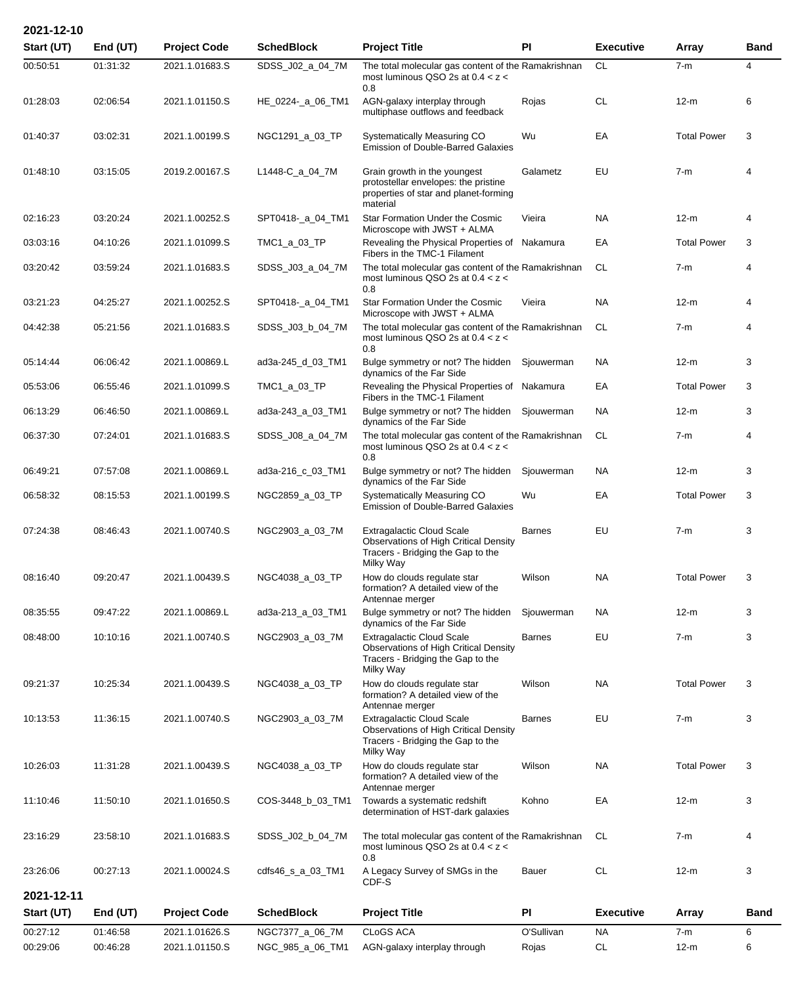| 2021-12-10 |            |                     |                   |                                                                                                                                    |               |                  |                    |             |
|------------|------------|---------------------|-------------------|------------------------------------------------------------------------------------------------------------------------------------|---------------|------------------|--------------------|-------------|
| Start (UT) | End (UT)   | <b>Project Code</b> | <b>SchedBlock</b> | <b>Project Title</b>                                                                                                               | PI            | <b>Executive</b> | <b>Array</b>       | <b>Band</b> |
| 00:50:51   | 01:31:32   | 2021.1.01683.S      | SDSS_J02_a_04_7M  | The total molecular gas content of the Ramakrishnan<br>most luminous QSO 2s at $0.4 < z <$<br>0.8                                  |               | <b>CL</b>        | $7-m$              | 4           |
| 01:28:03   | 02:06:54   | 2021.1.01150.S      | HE_0224-_a_06_TM1 | AGN-galaxy interplay through<br>multiphase outflows and feedback                                                                   | Rojas         | <b>CL</b>        | $12-m$             | 6           |
| 01:40:37   | 03:02:31   | 2021.1.00199.S      | NGC1291_a_03_TP   | Systematically Measuring CO<br><b>Emission of Double-Barred Galaxies</b>                                                           | Wu            | EA               | <b>Total Power</b> | 3           |
| 01:48:10   | 03:15:05   | 2019.2.00167.S      | L1448-C_a_04_7M   | Grain growth in the youngest<br>protostellar envelopes: the pristine<br>properties of star and planet-forming<br>material          | Galametz      | EU               | $7-m$              | 4           |
| 02:16:23   | 03:20:24   | 2021.1.00252.S      | SPT0418-_a_04_TM1 | Star Formation Under the Cosmic<br>Microscope with JWST + ALMA                                                                     | Vieira        | <b>NA</b>        | $12-m$             | 4           |
| 03:03:16   | 04:10:26   | 2021.1.01099.S      | TMC1_a_03_TP      | Revealing the Physical Properties of Nakamura<br>Fibers in the TMC-1 Filament                                                      |               | EA               | <b>Total Power</b> | 3           |
| 03:20:42   | 03:59:24   | 2021.1.01683.S      | SDSS_J03_a_04_7M  | The total molecular gas content of the Ramakrishnan<br>most luminous QSO 2s at $0.4 < z <$<br>0.8                                  |               | CL               | $7-m$              | 4           |
| 03:21:23   | 04:25:27   | 2021.1.00252.S      | SPT0418-_a_04_TM1 | <b>Star Formation Under the Cosmic</b><br>Microscope with JWST + ALMA                                                              | Vieira        | <b>NA</b>        | $12-m$             | 4           |
| 04:42:38   | 05:21:56   | 2021.1.01683.S      | SDSS_J03_b_04_7M  | The total molecular gas content of the Ramakrishnan<br>most luminous QSO 2s at $0.4 < z <$<br>0.8                                  |               | <b>CL</b>        | $7-m$              | 4           |
| 05:14:44   | 06:06:42   | 2021.1.00869.L      | ad3a-245_d_03_TM1 | Bulge symmetry or not? The hidden<br>dynamics of the Far Side                                                                      | Sjouwerman    | <b>NA</b>        | $12-m$             | 3           |
| 05:53:06   | 06:55:46   | 2021.1.01099.S      | TMC1_a_03_TP      | Revealing the Physical Properties of Nakamura<br>Fibers in the TMC-1 Filament                                                      |               | EA               | <b>Total Power</b> | 3           |
| 06:13:29   | 06:46:50   | 2021.1.00869.L      | ad3a-243_a_03_TM1 | Bulge symmetry or not? The hidden Sjouwerman<br>dynamics of the Far Side                                                           |               | <b>NA</b>        | $12-m$             | 3           |
| 06:37:30   | 07:24:01   | 2021.1.01683.S      | SDSS_J08_a_04_7M  | The total molecular gas content of the Ramakrishnan<br>most luminous QSO 2s at $0.4 < z <$<br>0.8                                  |               | CL               | $7-m$              | 4           |
| 06:49:21   | 07:57:08   | 2021.1.00869.L      | ad3a-216_c_03_TM1 | Bulge symmetry or not? The hidden<br>dynamics of the Far Side                                                                      | Sjouwerman    | <b>NA</b>        | $12-m$             | 3           |
| 06:58:32   | 08:15:53   | 2021.1.00199.S      | NGC2859_a_03_TP   | Systematically Measuring CO<br><b>Emission of Double-Barred Galaxies</b>                                                           | Wu            | EA               | <b>Total Power</b> | 3           |
| 07:24:38   | 08:46:43   | 2021.1.00740.S      | NGC2903_a_03_7M   | <b>Extragalactic Cloud Scale</b><br><b>Observations of High Critical Density</b><br>Tracers - Bridging the Gap to the<br>Milky Way | <b>Barnes</b> | EU               | $7-m$              | 3           |
| 08:16:40   | 09:20:47   | 2021.1.00439.S      | NGC4038_a_03_TP   | How do clouds regulate star<br>formation? A detailed view of the<br>Antennae merger                                                | Wilson        | NA.              | <b>Total Power</b> | 3           |
| 08:35:55   | 09:47:22   | 2021.1.00869.L      | ad3a-213_a_03_TM1 | Bulge symmetry or not? The hidden<br>dynamics of the Far Side                                                                      | Sjouwerman    | NA.              | $12-m$             | 3           |
| 08:48:00   | 10:10:16   | 2021.1.00740.S      | NGC2903_a_03_7M   | <b>Extragalactic Cloud Scale</b><br><b>Observations of High Critical Density</b><br>Tracers - Bridging the Gap to the<br>Milky Way | <b>Barnes</b> | EU               | $7-m$              | 3           |
| 09:21:37   | 10:25:34   | 2021.1.00439.S      | NGC4038_a_03_TP   | How do clouds regulate star<br>formation? A detailed view of the<br>Antennae merger                                                | Wilson        | NA.              | <b>Total Power</b> | 3           |
| 10:13:53   | 11:36:15   | 2021.1.00740.S      | NGC2903_a_03_7M   | <b>Extragalactic Cloud Scale</b><br><b>Observations of High Critical Density</b><br>Tracers - Bridging the Gap to the<br>Milky Way | <b>Barnes</b> | EU               | $7-m$              | 3           |
| 10:26:03   | 11:31:28   | 2021.1.00439.S      | NGC4038_a_03_TP   | How do clouds regulate star<br>formation? A detailed view of the<br>Antennae merger                                                | Wilson        | <b>NA</b>        | <b>Total Power</b> | 3           |
| 11:10:46   | 11:50:10   | 2021.1.01650.S      | COS-3448_b_03_TM1 | Towards a systematic redshift<br>determination of HST-dark galaxies                                                                | Kohno         | EA               | $12-m$             | 3           |
| 23:16:29   | 23:58:10   | 2021.1.01683.S      | SDSS_J02_b_04_7M  | The total molecular gas content of the Ramakrishnan<br>most luminous QSO 2s at $0.4 < z <$<br>0.8                                  |               | CL               | $7-m$              | 4           |
| 23:26:06   | 00:27:13   | 2021.1.00024.S      | cdfs46_s_a_03_TM1 | A Legacy Survey of SMGs in the<br>CDF-S                                                                                            | Bauer         | <b>CL</b>        | $12-m$             | 3           |
| 2021-12-11 |            |                     |                   |                                                                                                                                    |               |                  |                    |             |
| Start (UT) | End $(UT)$ | <b>Project Code</b> | <b>SchedBlock</b> | <b>Project Title</b>                                                                                                               | PI            | <b>Executive</b> | Array              | <b>Band</b> |
| 00:27:12   | 01:46:58   | 2021.1.01626.S      | NGC7377_a_06_7M   | <b>CLoGS ACA</b>                                                                                                                   | O'Sullivan    | <b>NA</b>        | $7-m$              | 6           |
| 00:29:06   | 00:46:28   | 2021.1.01150.S      | NGC_985_a_06_TM1  | AGN-galaxy interplay through                                                                                                       | Rojas         | <b>CL</b>        | $12-m$             | 6           |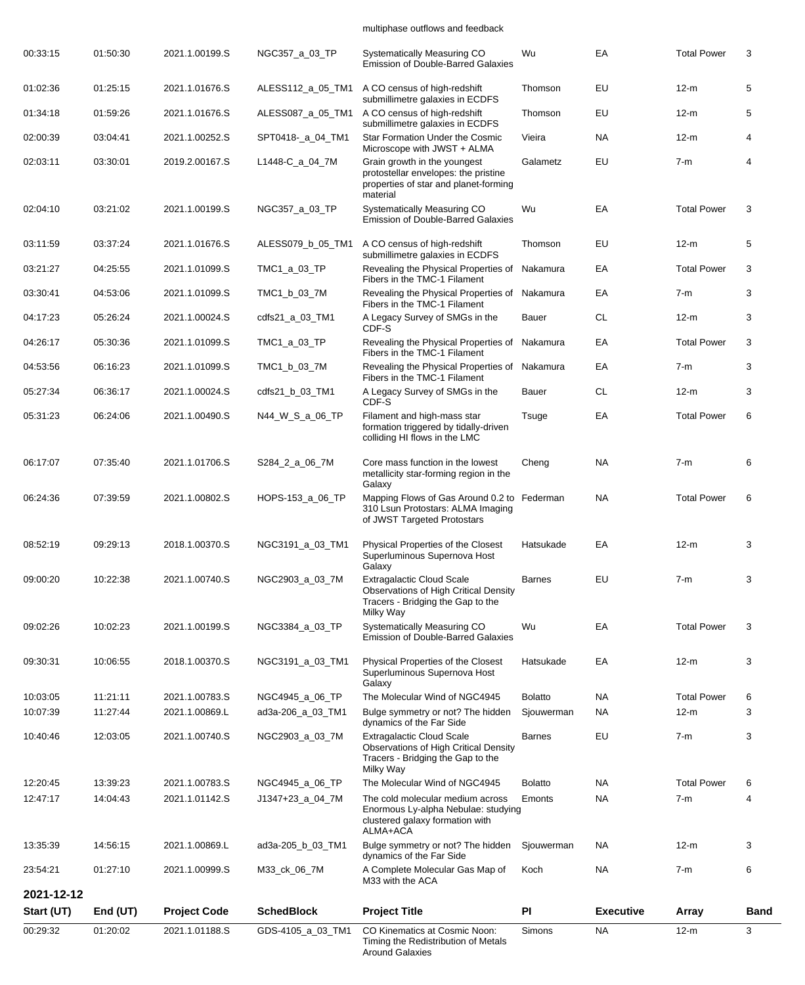## multiphase outflows and feedback

| 00:29:32   | 01:20:02   | 2021.1.01188.S      | GDS-4105_a_03_TM1 | CO Kinematics at Cosmic Noon:<br>Timing the Redistribution of Metals<br><b>Around Galaxies</b>                                  | Simons         | <b>NA</b>        | $12-m$             | 3           |
|------------|------------|---------------------|-------------------|---------------------------------------------------------------------------------------------------------------------------------|----------------|------------------|--------------------|-------------|
| Start (UT) | End $(UT)$ | <b>Project Code</b> | <b>SchedBlock</b> | <b>Project Title</b>                                                                                                            | PI             | <b>Executive</b> | Array              | <b>Band</b> |
| 2021-12-12 |            |                     |                   |                                                                                                                                 |                |                  |                    |             |
| 23:54:21   | 01:27:10   | 2021.1.00999.S      | M33_ck_06_7M      | A Complete Molecular Gas Map of<br>M33 with the ACA                                                                             | Koch           | <b>NA</b>        | $7-m$              | 6           |
| 13:35:39   | 14:56:15   | 2021.1.00869.L      | ad3a-205_b_03_TM1 | Bulge symmetry or not? The hidden<br>dynamics of the Far Side                                                                   | Sjouwerman     | <b>NA</b>        | $12-m$             | 3           |
|            |            |                     |                   | Enormous Ly-alpha Nebulae: studying<br>clustered galaxy formation with<br>ALMA+ACA                                              |                |                  |                    |             |
| 12:47:17   | 14:04:43   | 2021.1.01142.S      | J1347+23_a_04_7M  | The cold molecular medium across                                                                                                | Emonts         | <b>NA</b>        | $7-m$              | 4           |
| 12:20:45   | 13:39:23   | 2021.1.00783.S      | NGC4945_a_06_TP   | <b>Observations of High Critical Density</b><br>Tracers - Bridging the Gap to the<br>Milky Way<br>The Molecular Wind of NGC4945 | <b>Bolatto</b> | <b>NA</b>        | <b>Total Power</b> | 6           |
| 10:40:46   | 12:03:05   | 2021.1.00740.S      | NGC2903_a_03_7M   | dynamics of the Far Side<br><b>Extragalactic Cloud Scale</b>                                                                    | <b>Barnes</b>  | EU               | $7-m$              | 3           |
| 10:07:39   | 11:27:44   | 2021.1.00869.L      | ad3a-206_a_03_TM1 | Bulge symmetry or not? The hidden                                                                                               | Sjouwerman     | <b>NA</b>        | $12-m$             | 3           |
| 10:03:05   | 11:21:11   | 2021.1.00783.S      | NGC4945_a_06_TP   | Galaxy<br>The Molecular Wind of NGC4945                                                                                         | <b>Bolatto</b> | <b>NA</b>        | <b>Total Power</b> | 6           |
| 09:30:31   | 10:06:55   | 2018.1.00370.S      | NGC3191_a_03_TM1  | Physical Properties of the Closest<br>Superluminous Supernova Host                                                              | Hatsukade      | EA               | $12-m$             | 3           |
| 09:02:26   | 10:02:23   | 2021.1.00199.S      | NGC3384_a_03_TP   | Milky Way<br>Systematically Measuring CO<br><b>Emission of Double-Barred Galaxies</b>                                           | Wu             | EA               | <b>Total Power</b> | 3           |
| 09:00:20   | 10:22:38   | 2021.1.00740.S      | NGC2903_a_03_7M   | <b>Extragalactic Cloud Scale</b><br><b>Observations of High Critical Density</b><br>Tracers - Bridging the Gap to the           | <b>Barnes</b>  | EU               | $7-m$              | 3           |
| 08:52:19   | 09:29:13   | 2018.1.00370.S      | NGC3191_a_03_TM1  | Physical Properties of the Closest<br>Superluminous Supernova Host<br>Galaxy                                                    | Hatsukade      | EA               | $12-m$             | 3           |
| 06:24:36   | 07:39:59   | 2021.1.00802.S      | HOPS-153_a_06_TP  | Mapping Flows of Gas Around 0.2 to Federman<br>310 Lsun Protostars: ALMA Imaging<br>of JWST Targeted Protostars                 |                | <b>NA</b>        | <b>Total Power</b> | 6           |
| 06:17:07   | 07:35:40   | 2021.1.01706.S      | S284_2_a_06_7M    | Core mass function in the lowest<br>metallicity star-forming region in the<br>Galaxy                                            | Cheng          | <b>NA</b>        | $7-m$              | 6           |
| 05:31:23   | 06:24:06   | 2021.1.00490.S      | N44_W_S_a_06_TP   | Filament and high-mass star<br>formation triggered by tidally-driven<br>colliding HI flows in the LMC                           | Tsuge          | EA               | <b>Total Power</b> | 6           |
| 05:27:34   | 06:36:17   | 2021.1.00024.S      | cdfs21_b_03_TM1   | A Legacy Survey of SMGs in the<br>CDF-S                                                                                         | Bauer          | <b>CL</b>        | 12-m               | 3           |
| 04:53:56   | 06:16:23   | 2021.1.01099.S      | TMC1_b_03_7M      | Revealing the Physical Properties of Nakamura<br>Fibers in the TMC-1 Filament                                                   |                | EA               | $7-m$              | 3           |
| 04:26:17   | 05:30:36   | 2021.1.01099.S      | TMC1_a_03_TP      | Revealing the Physical Properties of Nakamura<br>Fibers in the TMC-1 Filament                                                   |                | EA               | <b>Total Power</b> | 3           |
| 04:17:23   | 05:26:24   | 2021.1.00024.S      | cdfs21_a_03_TM1   | A Legacy Survey of SMGs in the<br>CDF-S                                                                                         | Bauer          | <b>CL</b>        | 12-m               | 3           |
| 03:30:41   | 04:53:06   | 2021.1.01099.S      | TMC1_b_03_7M      | Fibers in the TMC-1 Filament<br>Revealing the Physical Properties of Nakamura<br>Fibers in the TMC-1 Filament                   |                | EA               | $7-m$              | 3           |
| 03:21:27   | 04:25:55   | 2021.1.01099.S      | TMC1_a_03_TP      | submillimetre galaxies in ECDFS<br>Revealing the Physical Properties of                                                         | Nakamura       | EA               | <b>Total Power</b> | 3           |
| 03:11:59   | 03:37:24   | 2021.1.01676.S      | ALESS079_b_05_TM1 | A CO census of high-redshift                                                                                                    | Thomson        | EU               | $12-m$             | 5           |
| 02:04:10   | 03:21:02   | 2021.1.00199.S      | NGC357_a_03_TP    | material<br>Systematically Measuring CO<br><b>Emission of Double-Barred Galaxies</b>                                            | Wu             | EA               | <b>Total Power</b> | 3           |
| 02:03:11   | 03:30:01   | 2019.2.00167.S      | L1448-C_a_04_7M   | Grain growth in the youngest<br>protostellar envelopes: the pristine<br>properties of star and planet-forming                   | Galametz       | EU               | $7-m$              | 4           |
| 02:00:39   | 03:04:41   | 2021.1.00252.S      | SPT0418-_a_04_TM1 | Star Formation Under the Cosmic<br>Microscope with JWST + ALMA                                                                  | Vieira         | <b>NA</b>        | $12-m$             | 4           |
| 01:34:18   | 01:59:26   | 2021.1.01676.S      | ALESS087_a_05_TM1 | A CO census of high-redshift<br>submillimetre galaxies in ECDFS                                                                 | Thomson        | EU               | $12-m$             | 5           |
| 01:02:36   | 01:25:15   | 2021.1.01676.S      | ALESS112_a_05_TM1 | A CO census of high-redshift<br>submillimetre galaxies in ECDFS                                                                 | Thomson        | EU               | $12-m$             | 5           |
| 00:33:15   | 01:50:30   | 2021.1.00199.S      | NGC357_a_03_TP    | Systematically Measuring CO<br><b>Emission of Double-Barred Galaxies</b>                                                        | Wu             | EA               | <b>Total Power</b> | 3           |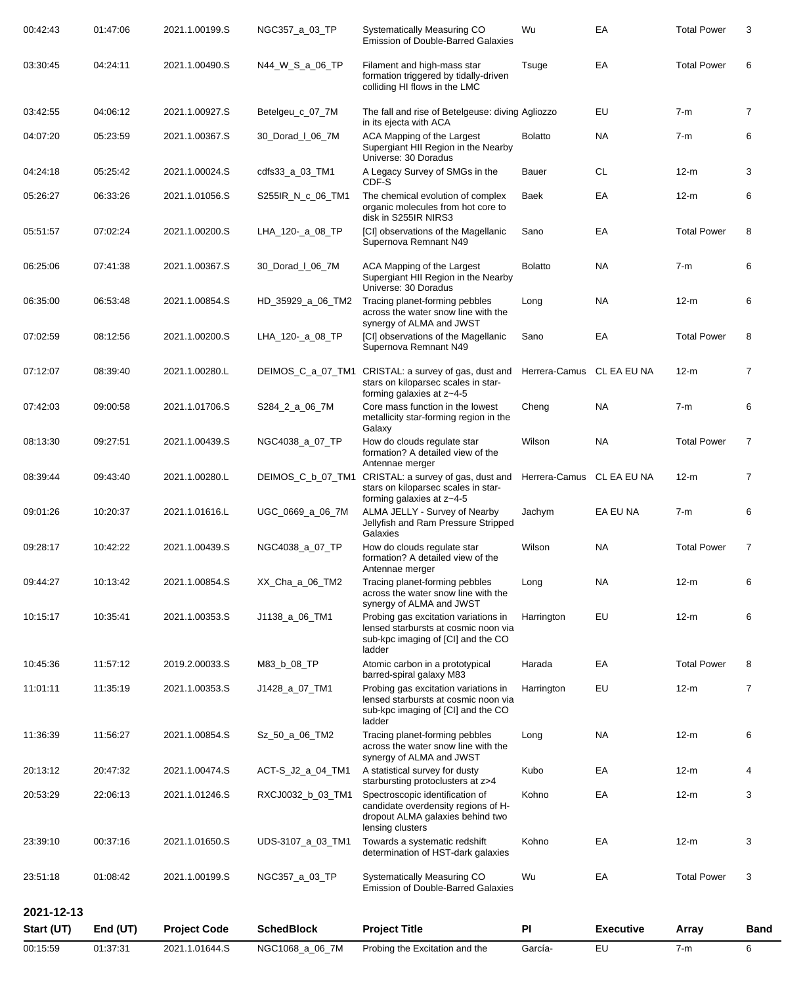| 00:15:59             | 01:37:31             | 2021.1.01644.S                   | NGC1068_a_06_7M                   | Probing the Excitation and the                                                                                                            | García-                   | EU               | $7-m$                       | 6              |
|----------------------|----------------------|----------------------------------|-----------------------------------|-------------------------------------------------------------------------------------------------------------------------------------------|---------------------------|------------------|-----------------------------|----------------|
| Start (UT)           | End $(UT)$           | <b>Project Code</b>              | <b>SchedBlock</b>                 | <b>Project Title</b>                                                                                                                      | PI                        | <b>Executive</b> | Array                       | <b>Band</b>    |
| 2021-12-13           |                      |                                  |                                   |                                                                                                                                           |                           |                  |                             |                |
| 23:51:18             | 01:08:42             | 2021.1.00199.S                   | NGC357_a_03_TP                    | Systematically Measuring CO<br><b>Emission of Double-Barred Galaxies</b>                                                                  | Wu                        | EA               | <b>Total Power</b>          | 3              |
| 23:39:10             | 00:37:16             | 2021.1.01650.S                   | UDS-3107_a_03_TM1                 | Towards a systematic redshift<br>determination of HST-dark galaxies                                                                       | Kohno                     | EA               | $12-m$                      | 3              |
|                      |                      |                                  | RXCJ0032_b_03_TM1                 | candidate overdensity regions of H-<br>dropout ALMA galaxies behind two<br>lensing clusters                                               |                           |                  |                             |                |
| 20:13:12<br>20:53:29 | 20:47:32<br>22:06:13 | 2021.1.00474.S<br>2021.1.01246.S | ACT-S_J2_a_04_TM1                 | A statistical survey for dusty<br>starbursting protoclusters at z>4<br>Spectroscopic identification of                                    | Kubo<br>Kohno             | EA<br>EA         | $12-m$<br>$12-m$            | 4<br>3         |
| 11:36:39             | 11:56:27             | 2021.1.00854.S                   | Sz_50_a_06_TM2                    | Tracing planet-forming pebbles<br>across the water snow line with the<br>synergy of ALMA and JWST                                         | Long                      | <b>NA</b>        | $12-m$                      | 6              |
|                      |                      |                                  |                                   | lensed starbursts at cosmic noon via<br>sub-kpc imaging of [CI] and the CO<br>ladder                                                      |                           |                  |                             |                |
| 11:01:11             | 11:35:19             | 2021.1.00353.S                   | J1428_a_07_TM1                    | barred-spiral galaxy M83<br>Probing gas excitation variations in                                                                          | Harrington                | EU               | $12-m$                      | 7              |
| 10:45:36             | 11:57:12             | 2019.2.00033.S                   | M83_b_08_TP                       | lensed starbursts at cosmic noon via<br>sub-kpc imaging of [CI] and the CO<br>ladder<br>Atomic carbon in a prototypical                   | Harada                    | EA               | <b>Total Power</b>          | 8              |
| 09:44:27<br>10:15:17 | 10:13:42<br>10:35:41 | 2021.1.00854.S<br>2021.1.00353.S | XX_Cha_a_06_TM2<br>J1138_a_06_TM1 | Tracing planet-forming pebbles<br>across the water snow line with the<br>synergy of ALMA and JWST<br>Probing gas excitation variations in | Long<br>Harrington        | <b>NA</b><br>EU  | $12-m$<br>$12-m$            | 6              |
|                      |                      |                                  |                                   | How do clouds regulate star<br>formation? A detailed view of the<br>Antennae merger                                                       | Wilson                    | <b>NA</b>        |                             | 6              |
| 09:28:17             | 10:42:22             | 2021.1.00439.S                   | NGC4038_a_07_TP                   | Jellyfish and Ram Pressure Stripped<br>Galaxies                                                                                           |                           |                  | <b>Total Power</b>          |                |
| 09:01:26             | 10:20:37             | 2021.1.01616.L                   | UGC_0669_a_06_7M                  | stars on kiloparsec scales in star-<br>forming galaxies at z~4-5<br>ALMA JELLY - Survey of Nearby                                         | Jachym                    | EA EU NA         | $7-m$                       | 6              |
| 08:39:44             | 09:43:40             | 2021.1.00280.L                   | DEIMOS_C_b_07_TM1                 | How do clouds regulate star<br>formation? A detailed view of the<br>Antennae merger<br>CRISTAL: a survey of gas, dust and                 | Herrera-Camus CL EA EU NA |                  | $12-m$                      | $\overline{7}$ |
| 07:42:03<br>08:13:30 | 09:00:58<br>09:27:51 | 2021.1.01706.S<br>2021.1.00439.S | S284_2_a_06_7M<br>NGC4038_a_07_TP | Core mass function in the lowest<br>metallicity star-forming region in the<br>Galaxy                                                      | Cheng<br>Wilson           | NA.<br><b>NA</b> | $7-m$<br><b>Total Power</b> | 6<br>7         |
| 07:12:07             | 08:39:40             | 2021.1.00280.L                   | DEIMOS C a 07_TM1                 | CRISTAL: a survey of gas, dust and<br>stars on kiloparsec scales in star-<br>forming galaxies at z~4-5                                    | Herrera-Camus CL EA EU NA |                  | $12-m$                      | 7              |
| 07:02:59             | 08:12:56             | 2021.1.00200.S                   | LHA_120-_a_08_TP                  | [CI] observations of the Magellanic<br>Supernova Remnant N49                                                                              | Sano                      | EA               | <b>Total Power</b>          | 8              |
| 06:35:00             | 06:53:48             | 2021.1.00854.S                   | HD_35929_a_06_TM2                 | Tracing planet-forming pebbles<br>across the water snow line with the<br>synergy of ALMA and JWST                                         | Long                      | <b>NA</b>        | $12-m$                      | 6              |
| 06:25:06             | 07:41:38             | 2021.1.00367.S                   | 30 Dorad   06 7M                  | ACA Mapping of the Largest<br>Supergiant HII Region in the Nearby<br>Universe: 30 Doradus                                                 | <b>Bolatto</b>            | NA.              | $7-m$                       | 6              |
| 05:51:57             | 07:02:24             | 2021.1.00200.S                   | LHA_120-_a_08_TP                  | [CI] observations of the Magellanic<br>Supernova Remnant N49                                                                              | Sano                      | EA               | <b>Total Power</b>          | 8              |
| 05:26:27             | 06:33:26             | 2021.1.01056.S                   | S255IR_N_c_06_TM1                 | The chemical evolution of complex<br>organic molecules from hot core to<br>disk in S255IR NIRS3                                           | Baek                      | EA               | $12-m$                      | 6              |
| 04:24:18             | 05:25:42             | 2021.1.00024.S                   | cdfs33_a_03_TM1                   | A Legacy Survey of SMGs in the<br>CDF-S                                                                                                   | Bauer                     | <b>CL</b>        | $12-m$                      | 3              |
| 04:07:20             | 05:23:59             | 2021.1.00367.S                   | 30_Dorad_I_06_7M                  | ACA Mapping of the Largest<br>Supergiant HII Region in the Nearby<br>Universe: 30 Doradus                                                 | <b>Bolatto</b>            | <b>NA</b>        | $7-m$                       | 6              |
| 03:42:55             | 04:06:12             | 2021.1.00927.S                   | Betelgeu_c_07_7M                  | The fall and rise of Betelgeuse: diving Agliozzo<br>in its ejecta with ACA                                                                |                           | EU               | $7-m$                       | 7              |
| 03:30:45             | 04:24:11             | 2021.1.00490.S                   | N44 W S a 06 TP                   | Filament and high-mass star<br>formation triggered by tidally-driven<br>colliding HI flows in the LMC                                     | Tsuge                     | EA               | <b>Total Power</b>          | 6              |
| 00:42:43             | 01:47:06             | 2021.1.00199.S                   | NGC357_a_03_TP                    | Systematically Measuring CO<br><b>Emission of Double-Barred Galaxies</b>                                                                  | Wu                        | EA               | <b>Total Power</b>          | 3              |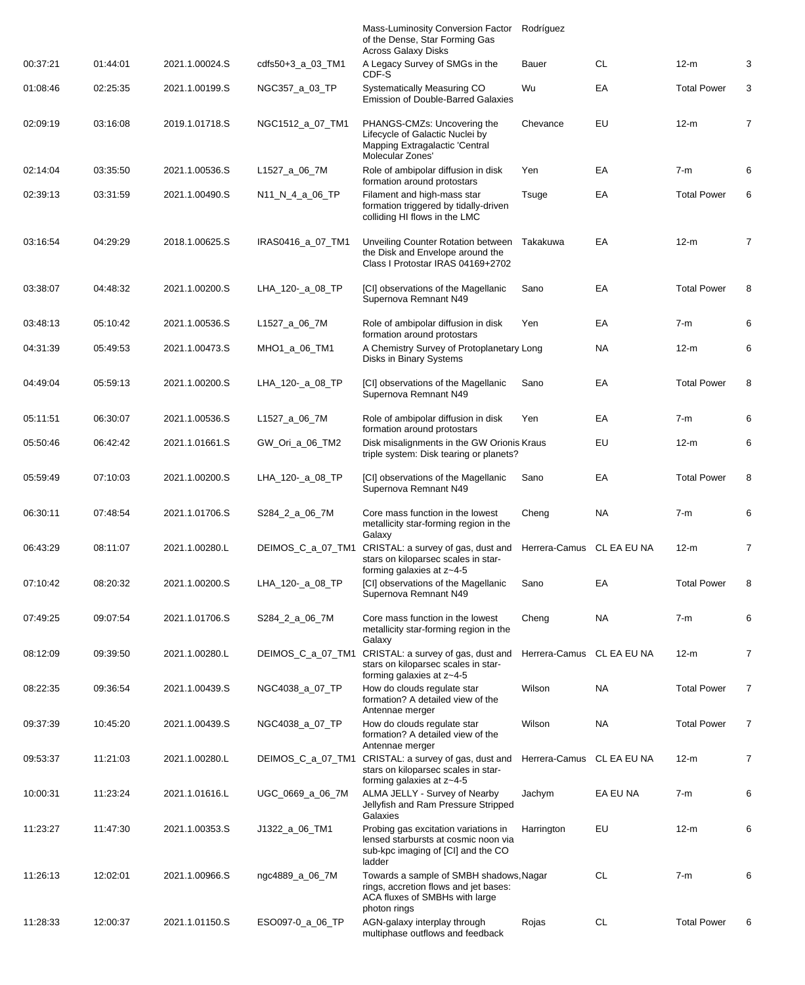|          |          |                |                     | Mass-Luminosity Conversion Factor<br>of the Dense, Star Forming Gas<br><b>Across Galaxy Disks</b>                                  | Rodríguez                 |           |                    |                |
|----------|----------|----------------|---------------------|------------------------------------------------------------------------------------------------------------------------------------|---------------------------|-----------|--------------------|----------------|
| 00:37:21 | 01:44:01 | 2021.1.00024.S | $cdfs50+3$ a 03 TM1 | A Legacy Survey of SMGs in the<br>CDF-S                                                                                            | Bauer                     | CL        | $12-m$             | 3              |
| 01:08:46 | 02:25:35 | 2021.1.00199.S | NGC357_a_03_TP      | Systematically Measuring CO<br><b>Emission of Double-Barred Galaxies</b>                                                           | Wu                        | EA        | <b>Total Power</b> | 3              |
| 02:09:19 | 03:16:08 | 2019.1.01718.S | NGC1512_a_07_TM1    | PHANGS-CMZs: Uncovering the<br>Lifecycle of Galactic Nuclei by<br>Mapping Extragalactic 'Central<br>Molecular Zones'               | Chevance                  | EU        | $12-m$             | 7              |
| 02:14:04 | 03:35:50 | 2021.1.00536.S | L1527_a_06_7M       | Role of ambipolar diffusion in disk<br>formation around protostars                                                                 | Yen                       | EA        | $7-m$              | 6              |
| 02:39:13 | 03:31:59 | 2021.1.00490.S | N11_N_4_a_06_TP     | Filament and high-mass star<br>formation triggered by tidally-driven<br>colliding HI flows in the LMC                              | Tsuge                     | EA        | <b>Total Power</b> | 6              |
| 03:16:54 | 04:29:29 | 2018.1.00625.S | IRAS0416_a_07_TM1   | Unveiling Counter Rotation between<br>the Disk and Envelope around the<br>Class I Protostar IRAS 04169+2702                        | Takakuwa                  | EA        | $12-m$             | $\overline{7}$ |
| 03:38:07 | 04:48:32 | 2021.1.00200.S | LHA_120-_a_08_TP    | [CI] observations of the Magellanic<br>Supernova Remnant N49                                                                       | Sano                      | EA        | <b>Total Power</b> | 8              |
| 03:48:13 | 05:10:42 | 2021.1.00536.S | L1527_a_06_7M       | Role of ambipolar diffusion in disk<br>formation around protostars                                                                 | Yen                       | EA        | $7-m$              | 6              |
| 04:31:39 | 05:49:53 | 2021.1.00473.S | MHO1_a_06_TM1       | A Chemistry Survey of Protoplanetary Long<br>Disks in Binary Systems                                                               |                           | NA.       | $12-m$             | 6              |
| 04:49:04 | 05:59:13 | 2021.1.00200.S | LHA_120-_a_08_TP    | [CI] observations of the Magellanic<br>Supernova Remnant N49                                                                       | Sano                      | EA        | <b>Total Power</b> | 8              |
| 05:11:51 | 06:30:07 | 2021.1.00536.S | L1527_a_06_7M       | Role of ambipolar diffusion in disk<br>formation around protostars                                                                 | Yen                       | EA        | $7-m$              | 6              |
| 05:50:46 | 06:42:42 | 2021.1.01661.S | GW_Ori_a_06_TM2     | Disk misalignments in the GW Orionis Kraus<br>triple system: Disk tearing or planets?                                              |                           | EU        | $12-m$             | 6              |
| 05:59:49 | 07:10:03 | 2021.1.00200.S | LHA_120-_a_08_TP    | [CI] observations of the Magellanic<br>Supernova Remnant N49                                                                       | Sano                      | EA        | <b>Total Power</b> | 8              |
| 06:30:11 | 07:48:54 | 2021.1.01706.S | S284_2_a_06_7M      | Core mass function in the lowest<br>metallicity star-forming region in the<br>Galaxy                                               | Cheng                     | NA        | $7-m$              | 6              |
| 06:43:29 | 08:11:07 | 2021.1.00280.L | DEIMOS_C_a_07_TM1   | CRISTAL: a survey of gas, dust and Herrera-Camus CL EA EU NA<br>stars on kiloparsec scales in star-<br>forming galaxies at z~4-5   |                           |           | $12-m$             |                |
| 07:10:42 | 08:20:32 | 2021.1.00200.S | LHA_120-_a_08_TP    | [CI] observations of the Magellanic<br>Supernova Remnant N49                                                                       | Sano                      | EA        | <b>Total Power</b> | 8              |
| 07:49:25 | 09:07:54 | 2021.1.01706.S | S284_2_a_06_7M      | Core mass function in the lowest<br>metallicity star-forming region in the<br>Galaxy                                               | Cheng                     | <b>NA</b> | $7-m$              | 6              |
| 08:12:09 | 09:39:50 | 2021.1.00280.L | DEIMOS_C_a_07_TM1   | CRISTAL: a survey of gas, dust and<br>stars on kiloparsec scales in star-<br>forming galaxies at z~4-5                             | Herrera-Camus CL EA EU NA |           | $12-m$             | $\overline{7}$ |
| 08:22:35 | 09:36:54 | 2021.1.00439.S | NGC4038_a_07_TP     | How do clouds regulate star<br>formation? A detailed view of the<br>Antennae merger                                                | Wilson                    | NA.       | <b>Total Power</b> | 7              |
| 09:37:39 | 10:45:20 | 2021.1.00439.S | NGC4038_a_07_TP     | How do clouds regulate star<br>formation? A detailed view of the<br>Antennae merger                                                | Wilson                    | <b>NA</b> | <b>Total Power</b> | 7              |
| 09:53:37 | 11:21:03 | 2021.1.00280.L | DEIMOS_C_a_07_TM1   | CRISTAL: a survey of gas, dust and<br>stars on kiloparsec scales in star-<br>forming galaxies at z~4-5                             | Herrera-Camus CL EA EU NA |           | $12-m$             | 7              |
| 10:00:31 | 11:23:24 | 2021.1.01616.L | UGC_0669_a_06_7M    | ALMA JELLY - Survey of Nearby<br>Jellyfish and Ram Pressure Stripped<br>Galaxies                                                   | Jachym                    | EA EU NA  | $7-m$              | 6              |
| 11:23:27 | 11:47:30 | 2021.1.00353.S | J1322_a_06_TM1      | Probing gas excitation variations in<br>lensed starbursts at cosmic noon via<br>sub-kpc imaging of [CI] and the CO<br>ladder       | Harrington                | EU        | $12-m$             | 6              |
| 11:26:13 | 12:02:01 | 2021.1.00966.S | ngc4889_a_06_7M     | Towards a sample of SMBH shadows, Nagar<br>rings, accretion flows and jet bases:<br>ACA fluxes of SMBHs with large<br>photon rings |                           | СL        | $7-m$              | 6              |
| 11:28:33 | 12:00:37 | 2021.1.01150.S | ESO097-0_a_06_TP    | AGN-galaxy interplay through<br>multiphase outflows and feedback                                                                   | Rojas                     | <b>CL</b> | <b>Total Power</b> | 6              |